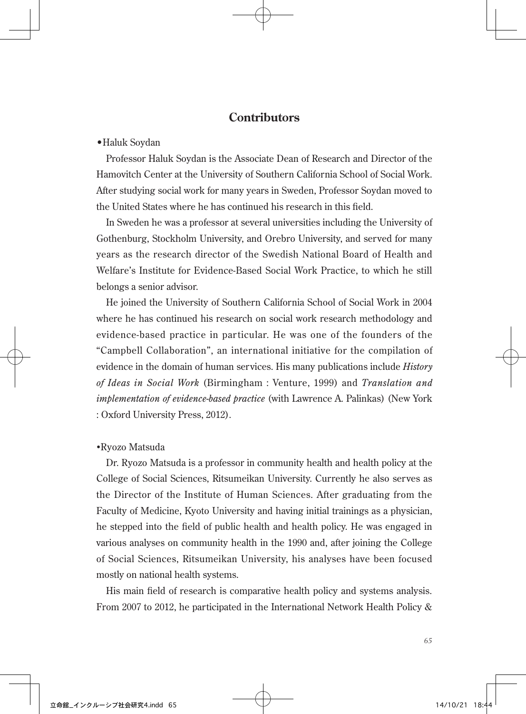# **Contributors**

#### •Haluk Soydan

Professor Haluk Soydan is the Associate Dean of Research and Director of the Hamovitch Center at the University of Southern California School of Social Work. After studying social work for many years in Sweden, Professor Soydan moved to the United States where he has continued his research in this field.

In Sweden he was a professor at several universities including the University of Gothenburg, Stockholm University, and Orebro University, and served for many years as the research director of the Swedish National Board of Health and Welfare's Institute for Evidence-Based Social Work Practice, to which he still belongs a senior advisor.

He joined the University of Southern California School of Social Work in 2004 where he has continued his research on social work research methodology and evidence-based practice in particular. He was one of the founders of the "Campbell Collaboration", an international initiative for the compilation of evidence in the domain of human services. His many publications include *History of Ideas in Social Work* (Birmingham : Venture, 1999) and *Translation and implementation of evidence-based practice* (with Lawrence A. Palinkas) (New York : Oxford University Press, 2012).

#### •Ryozo Matsuda

Dr. Ryozo Matsuda is a professor in community health and health policy at the College of Social Sciences, Ritsumeikan University. Currently he also serves as the Director of the Institute of Human Sciences. After graduating from the Faculty of Medicine, Kyoto University and having initial trainings as a physician, he stepped into the field of public health and health policy. He was engaged in various analyses on community health in the 1990 and, after joining the College of Social Sciences, Ritsumeikan University, his analyses have been focused mostly on national health systems.

His main field of research is comparative health policy and systems analysis. From 2007 to 2012, he participated in the International Network Health Policy &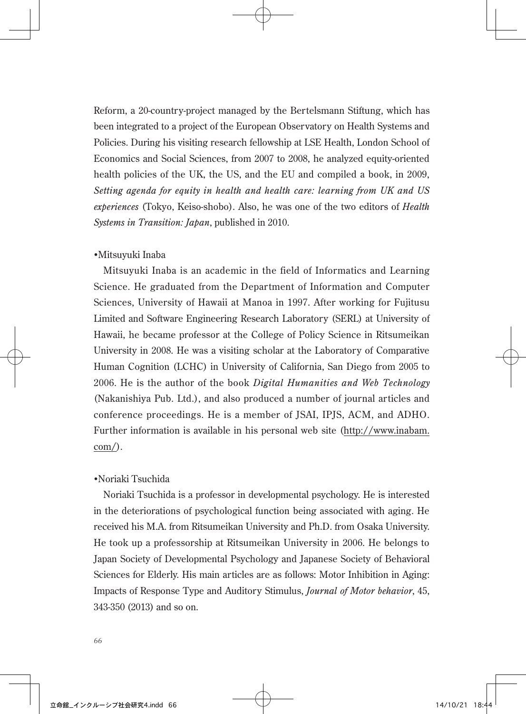Reform, a 20-country-project managed by the Bertelsmann Stiftung, which has been integrated to a project of the European Observatory on Health Systems and Policies. During his visiting research fellowship at LSE Health, London School of Economics and Social Sciences, from 2007 to 2008, he analyzed equity-oriented health policies of the UK, the US, and the EU and compiled a book, in 2009, *Setting agenda for equity in health and health care: learning from UK and US experiences* (Tokyo, Keiso-shobo). Also, he was one of the two editors of *Health Systems in Transition: Japan*, published in 2010.

# •Mitsuyuki Inaba

Mitsuyuki Inaba is an academic in the field of Informatics and Learning Science. He graduated from the Department of Information and Computer Sciences, University of Hawaii at Manoa in 1997. After working for Fujitusu Limited and Software Engineering Research Laboratory (SERL) at University of Hawaii, he became professor at the College of Policy Science in Ritsumeikan University in 2008. He was a visiting scholar at the Laboratory of Comparative Human Cognition (LCHC) in University of California, San Diego from 2005 to 2006. He is the author of the book *Digital Humanities and Web Technology*  (Nakanishiya Pub. Ltd.), and also produced a number of journal articles and conference proceedings. He is a member of JSAI, IPJS, ACM, and ADHO. Further information is available in his personal web site (http://www.inabam. com/).

# •Noriaki Tsuchida

Noriaki Tsuchida is a professor in developmental psychology. He is interested in the deteriorations of psychological function being associated with aging. He received his M.A. from Ritsumeikan University and Ph.D. from Osaka University. He took up a professorship at Ritsumeikan University in 2006. He belongs to Japan Society of Developmental Psychology and Japanese Society of Behavioral Sciences for Elderly. His main articles are as follows: Motor Inhibition in Aging: Impacts of Response Type and Auditory Stimulus, *Journal of Motor behavior*, 45, 343-350 (2013) and so on.